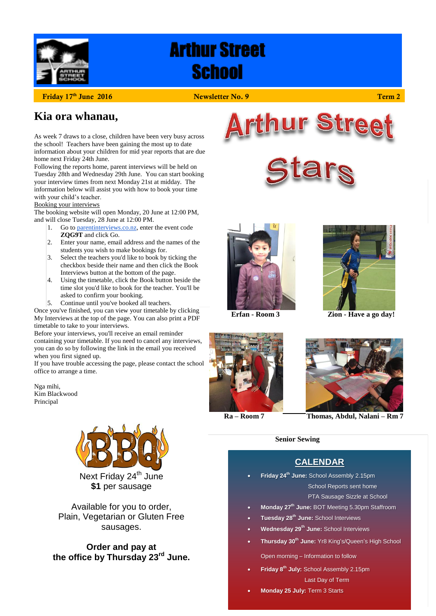

# **Arthur Street School**

**Friday 17th June 2016 Newsletter No. 9 Term 2**

### **Kia ora whanau,**

As week 7 draws to a close, children have been very busy across the school! Teachers have been gaining the most up to date information about your children for mid year reports that are due home next Friday 24th June.

Following the reports home, parent interviews will be held on Tuesday 28th and Wednesday 29th June. You can start booking your interview times from next Monday 21st at midday. The information below will assist you with how to book your time with your child's teacher.

#### Booking your interviews

The booking website will open Monday, 20 June at 12:00 PM, and will close Tuesday, 28 June at 12:00 PM.

- 1. Go to [parentinterviews.co.nz,](https://parentinterviews.co.nz/) enter the event code **ZQG9T** and click Go.
- 2. Enter your name, email address and the names of the students you wish to make bookings for.
- 3. Select the teachers you'd like to book by ticking the checkbox beside their name and then click the Book Interviews button at the bottom of the page.
- 4. Using the timetable, click the Book button beside the time slot you'd like to book for the teacher. You'll be asked to confirm your booking.
- 5. Continue until you've booked all teachers.

Once you've finished, you can view your timetable by clicking My Interviews at the top of the page. You can also print a PDF timetable to take to your interviews.

Before your interviews, you'll receive an email reminder containing your timetable. If you need to cancel any interviews, you can do so by following the link in the email you received when you first signed up.

If you have trouble accessing the page, please contact the school office to arrange a time.

Nga mihi, Kim Blackwood Principal



**\$1** per sausage

Available for you to order, Plain, Vegetarian or Gluten Free sausages.

**Order and pay at the office by Thursday 23rd June.**









**Erfan - Room 3 Zion - Have a go day!**





 **Ra – Room 7 Thomas, Abdul, Nalani – Rm 7**

#### **Senior Sewing**

### **CALENDAR**

- **Friday 24th June:** School Assembly 2.15pm School Reports sent home PTA Sausage Sizzle at School
- **Monday 27th June:** BOT Meeting 5.30pm Staffroom
- **Tuesday 28th June:** School Interviews
- **Wednesday 29th June:** School Interviews
- **Thursday 30th June:** Yr8 King's/Queen's High School

Open morning – Information to follow

- **Friday 8 th July:** School Assembly 2.15pm Last Day of Term
- **Monday 25 July:** Term 3 Starts